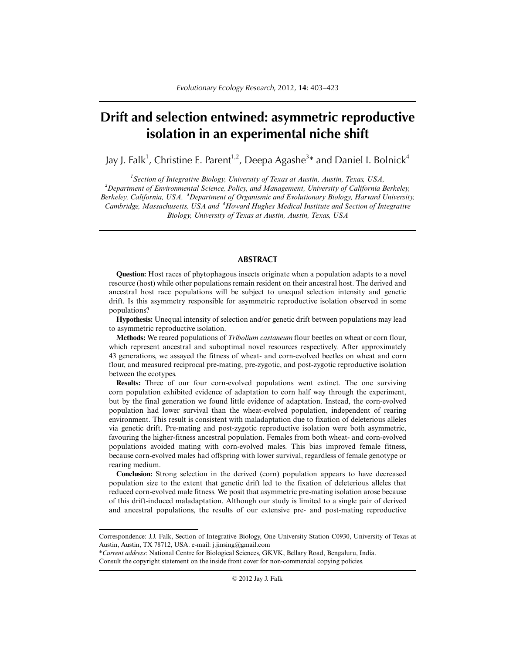# **Drift and selection entwined: asymmetric reproductive isolation in an experimental niche shift**

Jay J. Falk $^1$ , Christine E. Parent $^{1,2}$ , Deepa Agashe $^{3\ast}$  and Daniel I. Bolnick $^4$ 

*1 Section of Integrative Biology, University of Texas at Austin, Austin, Texas, USA, 2 Department of Environmental Science, Policy, and Management, University of California Berkeley, Berkeley, California, USA, <sup>3</sup> Department of Organismic and Evolutionary Biology, Harvard University, Cambridge, Massachusetts, USA and <sup>4</sup> Howard Hughes Medical Institute and Section of Integrative Biology, University of Texas at Austin, Austin, Texas, USA*

## **ABSTRACT**

**Question:** Host races of phytophagous insects originate when a population adapts to a novel resource (host) while other populations remain resident on their ancestral host. The derived and ancestral host race populations will be subject to unequal selection intensity and genetic drift. Is this asymmetry responsible for asymmetric reproductive isolation observed in some populations?

**Hypothesis:** Unequal intensity of selection and/or genetic drift between populations may lead to asymmetric reproductive isolation.

**Methods:** We reared populations of *Tribolium castaneum* flour beetles on wheat or corn flour, which represent ancestral and suboptimal novel resources respectively. After approximately 43 generations, we assayed the fitness of wheat- and corn-evolved beetles on wheat and corn flour, and measured reciprocal pre-mating, pre-zygotic, and post-zygotic reproductive isolation between the ecotypes.

**Results:** Three of our four corn-evolved populations went extinct. The one surviving corn population exhibited evidence of adaptation to corn half way through the experiment, but by the final generation we found little evidence of adaptation. Instead, the corn-evolved population had lower survival than the wheat-evolved population, independent of rearing environment. This result is consistent with maladaptation due to fixation of deleterious alleles via genetic drift. Pre-mating and post-zygotic reproductive isolation were both asymmetric, favouring the higher-fitness ancestral population. Females from both wheat- and corn-evolved populations avoided mating with corn-evolved males. This bias improved female fitness, because corn-evolved males had offspring with lower survival, regardless of female genotype or rearing medium.

**Conclusion:** Strong selection in the derived (corn) population appears to have decreased population size to the extent that genetic drift led to the fixation of deleterious alleles that reduced corn-evolved male fitness. We posit that asymmetric pre-mating isolation arose because of this drift-induced maladaptation. Although our study is limited to a single pair of derived and ancestral populations, the results of our extensive pre- and post-mating reproductive

Correspondence: J.J. Falk, Section of Integrative Biology, One University Station C0930, University of Texas at Austin, Austin, TX 78712, USA. e-mail: j.jinsing@gmail.com

<sup>\*</sup>*Current address*: National Centre for Biological Sciences, GKVK, Bellary Road, Bengaluru, India. Consult the copyright statement on the inside front cover for non-commercial copying policies.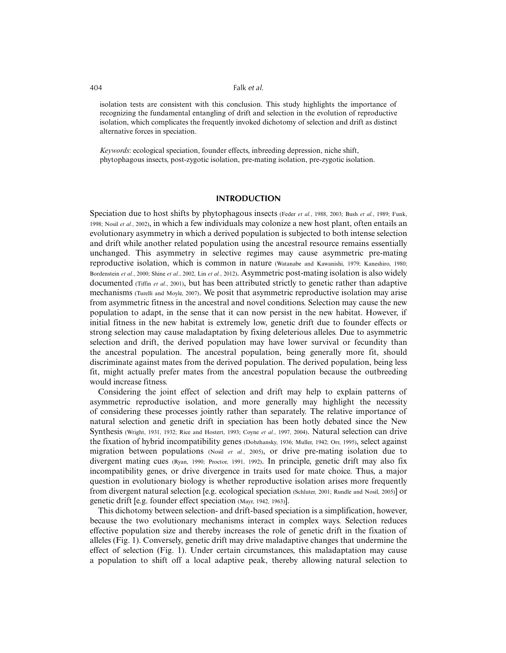isolation tests are consistent with this conclusion. This study highlights the importance of recognizing the fundamental entangling of drift and selection in the evolution of reproductive isolation, which complicates the frequently invoked dichotomy of selection and drift as distinct alternative forces in speciation.

*Keywords*: ecological speciation, founder effects, inbreeding depression, niche shift, phytophagous insects, post-zygotic isolation, pre-mating isolation, pre-zygotic isolation.

## **INTRODUCTION**

Speciation due to host shifts by phytophagous insects (Feder *et al.*, 1988, 2003; Bush *et al.*, 1989; Funk, 1998; Nosil *et al.*, 2002), in which a few individuals may colonize a new host plant, often entails an evolutionary asymmetry in which a derived population is subjected to both intense selection and drift while another related population using the ancestral resource remains essentially unchanged. This asymmetry in selective regimes may cause asymmetric pre-mating reproductive isolation, which is common in nature (Watanabe and Kawanishi, 1979; Kaneshiro, 1980; Bordenstein *et al.*, 2000; Shine *et al.*, 2002, Lin *et al.*, 2012). Asymmetric post-mating isolation is also widely documented (Tiffin *et al.*, 2001), but has been attributed strictly to genetic rather than adaptive mechanisms (Turelli and Moyle, 2007). We posit that asymmetric reproductive isolation may arise from asymmetric fitness in the ancestral and novel conditions. Selection may cause the new population to adapt, in the sense that it can now persist in the new habitat. However, if initial fitness in the new habitat is extremely low, genetic drift due to founder effects or strong selection may cause maladaptation by fixing deleterious alleles. Due to asymmetric selection and drift, the derived population may have lower survival or fecundity than the ancestral population. The ancestral population, being generally more fit, should discriminate against mates from the derived population. The derived population, being less fit, might actually prefer mates from the ancestral population because the outbreeding would increase fitness.

Considering the joint effect of selection and drift may help to explain patterns of asymmetric reproductive isolation, and more generally may highlight the necessity of considering these processes jointly rather than separately. The relative importance of natural selection and genetic drift in speciation has been hotly debated since the New Synthesis (Wright, 1931, 1932; Rice and Hostert, 1993; Coyne *et al.*, 1997, 2004). Natural selection can drive the fixation of hybrid incompatibility genes (Dobzhansky, 1936; Muller, 1942; Orr, 1995), select against migration between populations (Nosil *et al.*, 2005), or drive pre-mating isolation due to divergent mating cues (Ryan, 1990; Proctor, 1991, 1992). In principle, genetic drift may also fix incompatibility genes, or drive divergence in traits used for mate choice. Thus, a major question in evolutionary biology is whether reproductive isolation arises more frequently from divergent natural selection [e.g. ecological speciation (Schluter, 2001; Rundle and Nosil, 2005)] or genetic drift [e.g. founder effect speciation (Mayr, 1942, 1963)].

This dichotomy between selection- and drift-based speciation is a simplification, however, because the two evolutionary mechanisms interact in complex ways. Selection reduces effective population size and thereby increases the role of genetic drift in the fixation of alleles (Fig. 1). Conversely, genetic drift may drive maladaptive changes that undermine the effect of selection (Fig. 1). Under certain circumstances, this maladaptation may cause a population to shift off a local adaptive peak, thereby allowing natural selection to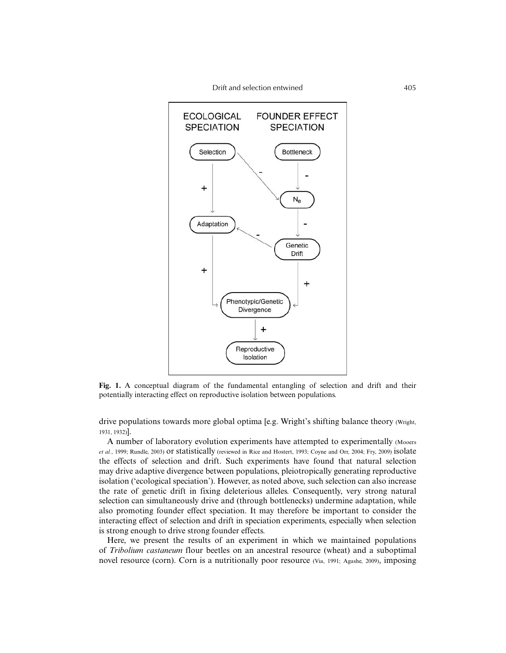

**Fig. 1.** A conceptual diagram of the fundamental entangling of selection and drift and their potentially interacting effect on reproductive isolation between populations.

drive populations towards more global optima [e.g. Wright's shifting balance theory (Wright, 1931, 1932)].

A number of laboratory evolution experiments have attempted to experimentally (Mooers *et al.*, 1999; Rundle, 2003) or statistically (reviewed in Rice and Hostert, 1993; Coyne and Orr, 2004; Fry, 2009) isolate the effects of selection and drift. Such experiments have found that natural selection may drive adaptive divergence between populations, pleiotropically generating reproductive isolation ('ecological speciation'). However, as noted above, such selection can also increase the rate of genetic drift in fixing deleterious alleles. Consequently, very strong natural selection can simultaneously drive and (through bottlenecks) undermine adaptation, while also promoting founder effect speciation. It may therefore be important to consider the interacting effect of selection and drift in speciation experiments, especially when selection is strong enough to drive strong founder effects.

Here, we present the results of an experiment in which we maintained populations of *Tribolium castaneum* flour beetles on an ancestral resource (wheat) and a suboptimal novel resource (corn). Corn is a nutritionally poor resource (Via, 1991; Agashe, 2009), imposing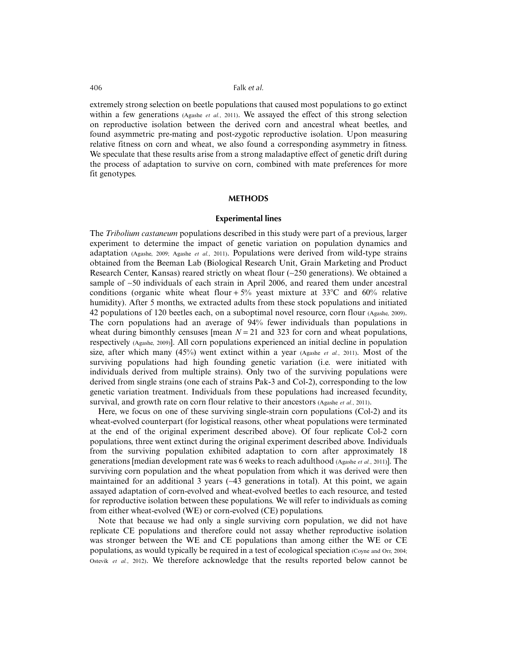extremely strong selection on beetle populations that caused most populations to go extinct within a few generations (Agashe *et al.*, 2011). We assayed the effect of this strong selection on reproductive isolation between the derived corn and ancestral wheat beetles, and found asymmetric pre-mating and post-zygotic reproductive isolation. Upon measuring relative fitness on corn and wheat, we also found a corresponding asymmetry in fitness. We speculate that these results arise from a strong maladaptive effect of genetic drift during the process of adaptation to survive on corn, combined with mate preferences for more fit genotypes.

# **METHODS**

## **Experimental lines**

The *Tribolium castaneum* populations described in this study were part of a previous, larger experiment to determine the impact of genetic variation on population dynamics and adaptation (Agashe, 2009; Agashe *et al.*, 2011). Populations were derived from wild-type strains obtained from the Beeman Lab (Biological Research Unit, Grain Marketing and Product Research Center, Kansas) reared strictly on wheat flour (∼250 generations). We obtained a sample of ∼50 individuals of each strain in April 2006, and reared them under ancestral conditions (organic white wheat flour +  $5\%$  yeast mixture at 33 °C and 60% relative humidity). After 5 months, we extracted adults from these stock populations and initiated 42 populations of 120 beetles each, on a suboptimal novel resource, corn flour (Agashe, 2009). The corn populations had an average of 94% fewer individuals than populations in wheat during bimonthly censuses [mean  $N = 21$  and 323 for corn and wheat populations, respectively (Agashe, 2009)]. All corn populations experienced an initial decline in population size, after which many  $(45%)$  went extinct within a year  $(A_{\text{gashe }et al.}, 2011)$ . Most of the surviving populations had high founding genetic variation (i.e. were initiated with individuals derived from multiple strains). Only two of the surviving populations were derived from single strains (one each of strains Pak-3 and Col-2), corresponding to the low genetic variation treatment. Individuals from these populations had increased fecundity, survival, and growth rate on corn flour relative to their ancestors (Agashe *et al.*, 2011).

Here, we focus on one of these surviving single-strain corn populations (Col-2) and its wheat-evolved counterpart (for logistical reasons, other wheat populations were terminated at the end of the original experiment described above). Of four replicate Col-2 corn populations, three went extinct during the original experiment described above. Individuals from the surviving population exhibited adaptation to corn after approximately 18 generations [median development rate was 6 weeks to reach adulthood (Agashe *et al.*, 2011)]. The surviving corn population and the wheat population from which it was derived were then maintained for an additional 3 years (∼43 generations in total). At this point, we again assayed adaptation of corn-evolved and wheat-evolved beetles to each resource, and tested for reproductive isolation between these populations. We will refer to individuals as coming from either wheat-evolved (WE) or corn-evolved (CE) populations.

Note that because we had only a single surviving corn population, we did not have replicate CE populations and therefore could not assay whether reproductive isolation was stronger between the WE and CE populations than among either the WE or CE populations, as would typically be required in a test of ecological speciation (Coyne and Orr, 2004; Ostevik *et al.*, 2012). We therefore acknowledge that the results reported below cannot be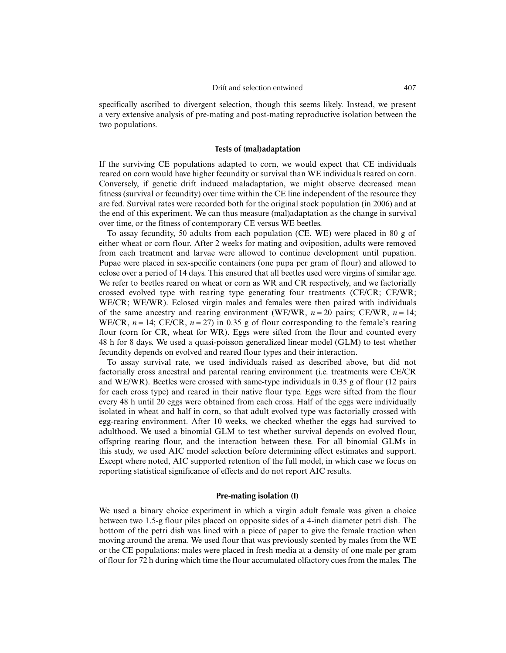specifically ascribed to divergent selection, though this seems likely. Instead, we present a very extensive analysis of pre-mating and post-mating reproductive isolation between the two populations.

## **Tests of (mal)adaptation**

If the surviving CE populations adapted to corn, we would expect that CE individuals reared on corn would have higher fecundity or survival than WE individuals reared on corn. Conversely, if genetic drift induced maladaptation, we might observe decreased mean fitness (survival or fecundity) over time within the CE line independent of the resource they are fed. Survival rates were recorded both for the original stock population (in 2006) and at the end of this experiment. We can thus measure (mal)adaptation as the change in survival over time, or the fitness of contemporary CE versus WE beetles.

To assay fecundity, 50 adults from each population (CE, WE) were placed in 80 g of either wheat or corn flour. After 2 weeks for mating and oviposition, adults were removed from each treatment and larvae were allowed to continue development until pupation. Pupae were placed in sex-specific containers (one pupa per gram of flour) and allowed to eclose over a period of 14 days. This ensured that all beetles used were virgins of similar age. We refer to beetles reared on wheat or corn as WR and CR respectively, and we factorially crossed evolved type with rearing type generating four treatments (CE/CR; CE/WR; WE/CR; WE/WR). Eclosed virgin males and females were then paired with individuals of the same ancestry and rearing environment (WE/WR,  $n = 20$  pairs; CE/WR,  $n = 14$ ; WE/CR,  $n = 14$ ; CE/CR,  $n = 27$ ) in 0.35 g of flour corresponding to the female's rearing flour (corn for CR, wheat for WR). Eggs were sifted from the flour and counted every 48 h for 8 days. We used a quasi-poisson generalized linear model (GLM) to test whether fecundity depends on evolved and reared flour types and their interaction.

To assay survival rate, we used individuals raised as described above, but did not factorially cross ancestral and parental rearing environment (i.e. treatments were CE/CR and WE/WR). Beetles were crossed with same-type individuals in 0.35 g of flour (12 pairs for each cross type) and reared in their native flour type. Eggs were sifted from the flour every 48 h until 20 eggs were obtained from each cross. Half of the eggs were individually isolated in wheat and half in corn, so that adult evolved type was factorially crossed with egg-rearing environment. After 10 weeks, we checked whether the eggs had survived to adulthood. We used a binomial GLM to test whether survival depends on evolved flour, offspring rearing flour, and the interaction between these. For all binomial GLMs in this study, we used AIC model selection before determining effect estimates and support. Except where noted, AIC supported retention of the full model, in which case we focus on reporting statistical significance of effects and do not report AIC results.

## **Pre-mating isolation (I)**

We used a binary choice experiment in which a virgin adult female was given a choice between two 1.5-g flour piles placed on opposite sides of a 4-inch diameter petri dish. The bottom of the petri dish was lined with a piece of paper to give the female traction when moving around the arena. We used flour that was previously scented by males from the WE or the CE populations: males were placed in fresh media at a density of one male per gram of flour for 72 h during which time the flour accumulated olfactory cues from the males. The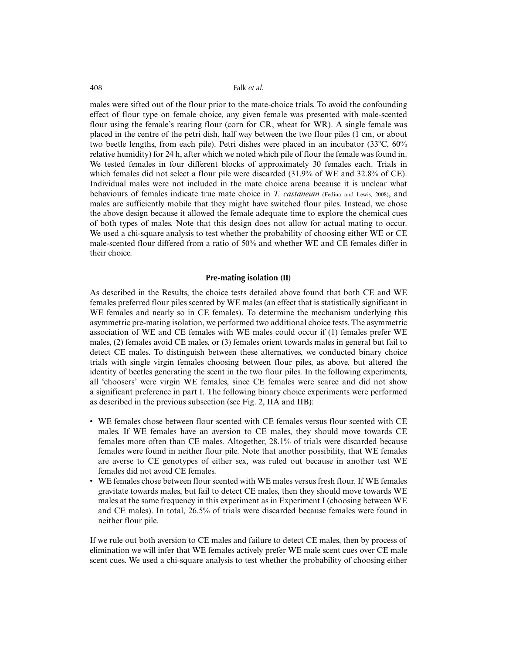males were sifted out of the flour prior to the mate-choice trials. To avoid the confounding effect of flour type on female choice, any given female was presented with male-scented flour using the female's rearing flour (corn for CR, wheat for WR). A single female was placed in the centre of the petri dish, half way between the two flour piles (1 cm, or about two beetle lengths, from each pile). Petri dishes were placed in an incubator  $(33^{\circ}C, 60\%)$ relative humidity) for 24 h, after which we noted which pile of flour the female was found in. We tested females in four different blocks of approximately 30 females each. Trials in which females did not select a flour pile were discarded (31.9% of WE and 32.8% of CE). Individual males were not included in the mate choice arena because it is unclear what behaviours of females indicate true mate choice in *T. castaneum* (Fedina and Lewis, 2008), and males are sufficiently mobile that they might have switched flour piles. Instead, we chose the above design because it allowed the female adequate time to explore the chemical cues of both types of males. Note that this design does not allow for actual mating to occur. We used a chi-square analysis to test whether the probability of choosing either WE or CE male-scented flour differed from a ratio of 50% and whether WE and CE females differ in their choice.

#### **Pre-mating isolation (II)**

As described in the Results, the choice tests detailed above found that both CE and WE females preferred flour piles scented by WE males (an effect that is statistically significant in WE females and nearly so in CE females). To determine the mechanism underlying this asymmetric pre-mating isolation, we performed two additional choice tests. The asymmetric association of WE and CE females with WE males could occur if (1) females prefer WE males, (2) females avoid CE males, or (3) females orient towards males in general but fail to detect CE males. To distinguish between these alternatives, we conducted binary choice trials with single virgin females choosing between flour piles, as above, but altered the identity of beetles generating the scent in the two flour piles. In the following experiments, all 'choosers' were virgin WE females, since CE females were scarce and did not show a significant preference in part I. The following binary choice experiments were performed as described in the previous subsection (see Fig. 2, IIA and IIB):

- WE females chose between flour scented with CE females versus flour scented with CE males. If WE females have an aversion to CE males, they should move towards CE females more often than CE males. Altogether, 28.1% of trials were discarded because females were found in neither flour pile. Note that another possibility, that WE females are averse to CE genotypes of either sex, was ruled out because in another test WE females did not avoid CE females.
- WE females chose between flour scented with WE males versus fresh flour. If WE females gravitate towards males, but fail to detect CE males, then they should move towards WE males at the same frequency in this experiment as in Experiment I (choosing between WE and CE males). In total, 26.5% of trials were discarded because females were found in neither flour pile.

If we rule out both aversion to CE males and failure to detect CE males, then by process of elimination we will infer that WE females actively prefer WE male scent cues over CE male scent cues. We used a chi-square analysis to test whether the probability of choosing either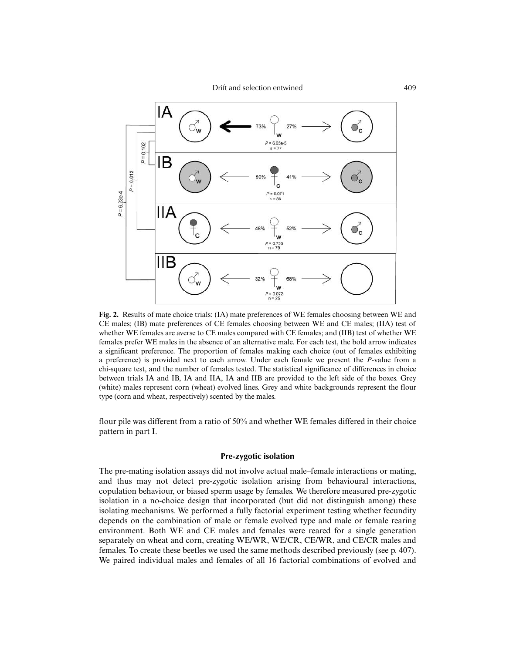

**Fig. 2.** Results of mate choice trials: (IA) mate preferences of WE females choosing between WE and CE males; (IB) mate preferences of CE females choosing between WE and CE males; (IIA) test of whether WE females are averse to CE males compared with CE females; and (IIB) test of whether WE females prefer WE males in the absence of an alternative male. For each test, the bold arrow indicates a significant preference. The proportion of females making each choice (out of females exhibiting a preference) is provided next to each arrow. Under each female we present the *P*-value from a chi-square test, and the number of females tested. The statistical significance of differences in choice between trials IA and IB, IA and IIA, IA and IIB are provided to the left side of the boxes. Grey (white) males represent corn (wheat) evolved lines. Grey and white backgrounds represent the flour type (corn and wheat, respectively) scented by the males.

flour pile was different from a ratio of 50% and whether WE females differed in their choice pattern in part I.

## **Pre-zygotic isolation**

The pre-mating isolation assays did not involve actual male–female interactions or mating, and thus may not detect pre-zygotic isolation arising from behavioural interactions, copulation behaviour, or biased sperm usage by females. We therefore measured pre-zygotic isolation in a no-choice design that incorporated (but did not distinguish among) these isolating mechanisms. We performed a fully factorial experiment testing whether fecundity depends on the combination of male or female evolved type and male or female rearing environment. Both WE and CE males and females were reared for a single generation separately on wheat and corn, creating WE/WR, WE/CR, CE/WR, and CE/CR males and females. To create these beetles we used the same methods described previously (see p. 407). We paired individual males and females of all 16 factorial combinations of evolved and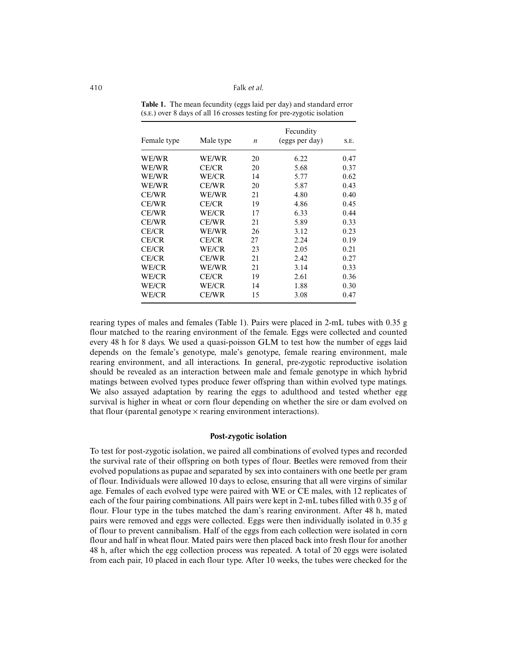| Female type  | Male type    | $\boldsymbol{n}$ | Fecundity<br>(eggs per day) | S.E. |
|--------------|--------------|------------------|-----------------------------|------|
| WE/WR        | WE/WR        | 20               | 6.22                        | 0.47 |
| WE/WR        | <b>CE/CR</b> | 20               | 5.68                        | 0.37 |
| WE/WR        | WE/CR        | 14               | 5.77                        | 0.62 |
| WE/WR        | CE/WR        | 20               | 5.87                        | 0.43 |
| CE/WR        | WE/WR        | 21               | 4.80                        | 0.40 |
| CE/WR        | <b>CE/CR</b> | 19               | 4.86                        | 0.45 |
| CE/WR        | WE/CR        | 17               | 6.33                        | 0.44 |
| CE/WR        | <b>CE/WR</b> | 21               | 5.89                        | 0.33 |
| <b>CE/CR</b> | WE/WR        | 26               | 3.12                        | 0.23 |
| <b>CE/CR</b> | <b>CE/CR</b> | 27               | 2.24                        | 0.19 |
| CE/CR        | WE/CR        | 23               | 2.05                        | 0.21 |
| CE/CR        | <b>CE/WR</b> | 21               | 2.42                        | 0.27 |
| WE/CR        | WE/WR        | 21               | 3.14                        | 0.33 |
| WE/CR        | <b>CE/CR</b> | 19               | 2.61                        | 0.36 |
| WE/CR        | WE/CR        | 14               | 1.88                        | 0.30 |
| WE/CR        | <b>CE/WR</b> | 15               | 3.08                        | 0.47 |

**Table 1.** The mean fecundity (eggs laid per day) and standard error (S.E.) over 8 days of all 16 crosses testing for pre-zygotic isolation

rearing types of males and females (Table 1). Pairs were placed in 2-mL tubes with 0.35 g flour matched to the rearing environment of the female. Eggs were collected and counted every 48 h for 8 days. We used a quasi-poisson GLM to test how the number of eggs laid depends on the female's genotype, male's genotype, female rearing environment, male rearing environment, and all interactions. In general, pre-zygotic reproductive isolation should be revealed as an interaction between male and female genotype in which hybrid matings between evolved types produce fewer offspring than within evolved type matings. We also assayed adaptation by rearing the eggs to adulthood and tested whether egg survival is higher in wheat or corn flour depending on whether the sire or dam evolved on that flour (parental genotype  $\times$  rearing environment interactions).

## **Post-zygotic isolation**

To test for post-zygotic isolation, we paired all combinations of evolved types and recorded the survival rate of their offspring on both types of flour. Beetles were removed from their evolved populations as pupae and separated by sex into containers with one beetle per gram of flour. Individuals were allowed 10 days to eclose, ensuring that all were virgins of similar age. Females of each evolved type were paired with WE or CE males, with 12 replicates of each of the four pairing combinations. All pairs were kept in 2-mL tubes filled with 0.35 g of flour. Flour type in the tubes matched the dam's rearing environment. After 48 h, mated pairs were removed and eggs were collected. Eggs were then individually isolated in 0.35 g of flour to prevent cannibalism. Half of the eggs from each collection were isolated in corn flour and half in wheat flour. Mated pairs were then placed back into fresh flour for another 48 h, after which the egg collection process was repeated. A total of 20 eggs were isolated from each pair, 10 placed in each flour type. After 10 weeks, the tubes were checked for the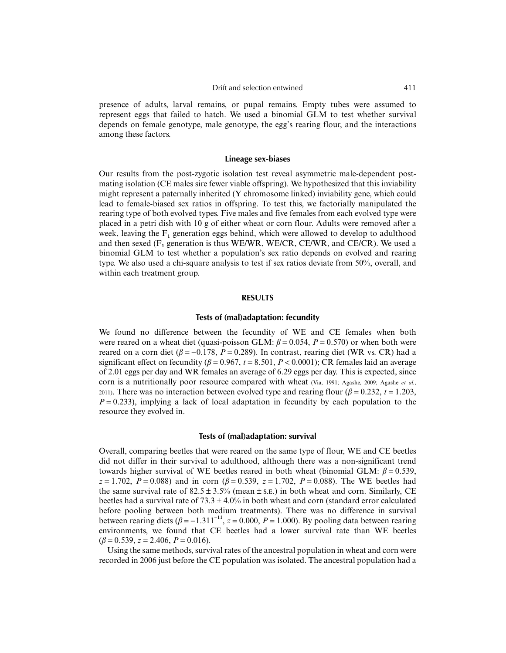presence of adults, larval remains, or pupal remains. Empty tubes were assumed to represent eggs that failed to hatch. We used a binomial GLM to test whether survival depends on female genotype, male genotype, the egg's rearing flour, and the interactions among these factors.

#### **Lineage sex-biases**

Our results from the post-zygotic isolation test reveal asymmetric male-dependent postmating isolation (CE males sire fewer viable offspring). We hypothesized that this inviability might represent a paternally inherited (Y chromosome linked) inviability gene, which could lead to female-biased sex ratios in offspring. To test this, we factorially manipulated the rearing type of both evolved types. Five males and five females from each evolved type were placed in a petri dish with 10 g of either wheat or corn flour. Adults were removed after a week, leaving the  $F_1$  generation eggs behind, which were allowed to develop to adulthood and then sexed  $(F_1)$  generation is thus WE/WR, WE/CR, CE/WR, and CE/CR). We used a binomial GLM to test whether a population's sex ratio depends on evolved and rearing type. We also used a chi-square analysis to test if sex ratios deviate from 50%, overall, and within each treatment group.

#### **RESULTS**

#### **Tests of (mal)adaptation: fecundity**

We found no difference between the fecundity of WE and CE females when both were reared on a wheat diet (quasi-poisson GLM:  $\beta = 0.054$ ,  $P = 0.570$ ) or when both were reared on a corn diet ( $\beta = -0.178$ ,  $P = 0.289$ ). In contrast, rearing diet (WR vs. CR) had a significant effect on fecundity ( $\beta$  = 0.967,  $t$  = 8.501,  $P$  < 0.0001); CR females laid an average of 2.01 eggs per day and WR females an average of 6.29 eggs per day. This is expected, since corn is a nutritionally poor resource compared with wheat (Via, 1991; Agashe, 2009; Agashe *et al.*, 2011). There was no interaction between evolved type and rearing flour ( $\beta$  = 0.232,  $t$  = 1.203,  $P = 0.233$ ), implying a lack of local adaptation in fecundity by each population to the resource they evolved in.

## **Tests of (mal)adaptation: survival**

Overall, comparing beetles that were reared on the same type of flour, WE and CE beetles did not differ in their survival to adulthood, although there was a non-significant trend towards higher survival of WE beetles reared in both wheat (binomial GLM:  $β = 0.539$ , *z* = 1.702, *P* = 0.088) and in corn ( $\beta$  = 0.539, *z* = 1.702, *P* = 0.088). The WE beetles had the same survival rate of  $82.5 \pm 3.5\%$  (mean  $\pm$  s.e.) in both wheat and corn. Similarly, CE beetles had a survival rate of  $73.3 \pm 4.0\%$  in both wheat and corn (standard error calculated before pooling between both medium treatments). There was no difference in survival between rearing diets  $(\beta = -1.311^{-11}, z = 0.000, P = 1.000)$ . By pooling data between rearing environments, we found that CE beetles had a lower survival rate than WE beetles  $(\beta = 0.539, z = 2.406, P = 0.016).$ 

Using the same methods, survival rates of the ancestral population in wheat and corn were recorded in 2006 just before the CE population was isolated. The ancestral population had a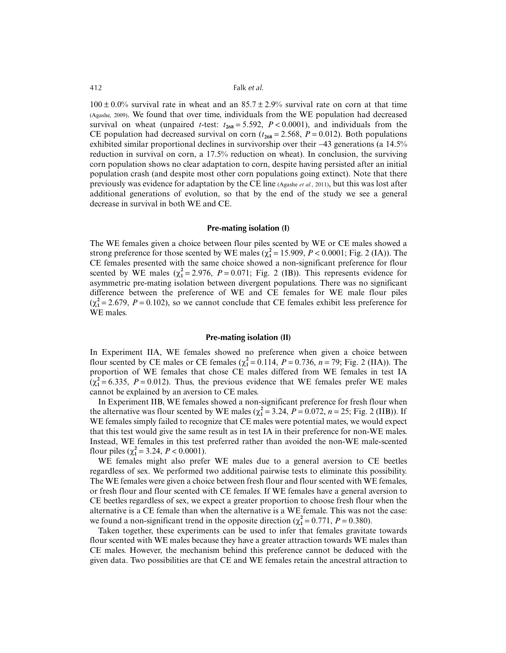$100 \pm 0.0\%$  survival rate in wheat and an  $85.7 \pm 2.9\%$  survival rate on corn at that time (Agashe, 2009). We found that over time, individuals from the WE population had decreased survival on wheat (unpaired *t*-test:  $t_{268} = 5.592$ ,  $P < 0.0001$ ), and individuals from the CE population had decreased survival on corn ( $t_{268} = 2.568$ ,  $P = 0.012$ ). Both populations exhibited similar proportional declines in survivorship over their ∼43 generations (a 14.5% reduction in survival on corn, a 17.5% reduction on wheat). In conclusion, the surviving corn population shows no clear adaptation to corn, despite having persisted after an initial population crash (and despite most other corn populations going extinct). Note that there previously was evidence for adaptation by the CE line (Agashe *et al.*, 2011), but this was lost after additional generations of evolution, so that by the end of the study we see a general decrease in survival in both WE and CE.

#### **Pre-mating isolation (I)**

The WE females given a choice between flour piles scented by WE or CE males showed a strong preference for those scented by WE males ( $\chi^2$  = 15.909, *P* < 0.0001; Fig. 2 (IA)). The CE females presented with the same choice showed a non-significant preference for flour scented by WE males  $(\chi_1^2 = 2.976, P = 0.071;$  Fig. 2 (IB)). This represents evidence for asymmetric pre-mating isolation between divergent populations. There was no significant difference between the preference of WE and CE females for WE male flour piles  $(\chi_1^2 = 2.679, P = 0.102)$ , so we cannot conclude that CE females exhibit less preference for WE males.

## **Pre-mating isolation (II)**

In Experiment IIA, WE females showed no preference when given a choice between flour scented by CE males or CE females  $(\chi_1^2 = 0.114, P = 0.736, n = 79)$ ; Fig. 2 (IIA)). The proportion of WE females that chose CE males differed from WE females in test IA  $(\chi_1^2 = 6.335, P = 0.012)$ . Thus, the previous evidence that WE females prefer WE males cannot be explained by an aversion to CE males.

In Experiment IIB, WE females showed a non-significant preference for fresh flour when the alternative was flour scented by WE males ( $\chi^2 = 3.24$ ,  $P = 0.072$ ,  $n = 25$ ; Fig. 2 (IIB)). If WE females simply failed to recognize that CE males were potential mates, we would expect that this test would give the same result as in test IA in their preference for non-WE males. Instead, WE females in this test preferred rather than avoided the non-WE male-scented flour piles ( $\chi_1^2 = 3.24$ ,  $P < 0.0001$ ).

WE females might also prefer WE males due to a general aversion to CE beetles regardless of sex. We performed two additional pairwise tests to eliminate this possibility. The WE females were given a choice between fresh flour and flour scented with WE females, or fresh flour and flour scented with CE females. If WE females have a general aversion to CE beetles regardless of sex, we expect a greater proportion to choose fresh flour when the alternative is a CE female than when the alternative is a WE female. This was not the case: we found a non-significant trend in the opposite direction ( $\chi^2$  = 0.771, *P* = 0.380).

Taken together, these experiments can be used to infer that females gravitate towards flour scented with WE males because they have a greater attraction towards WE males than CE males. However, the mechanism behind this preference cannot be deduced with the given data. Two possibilities are that CE and WE females retain the ancestral attraction to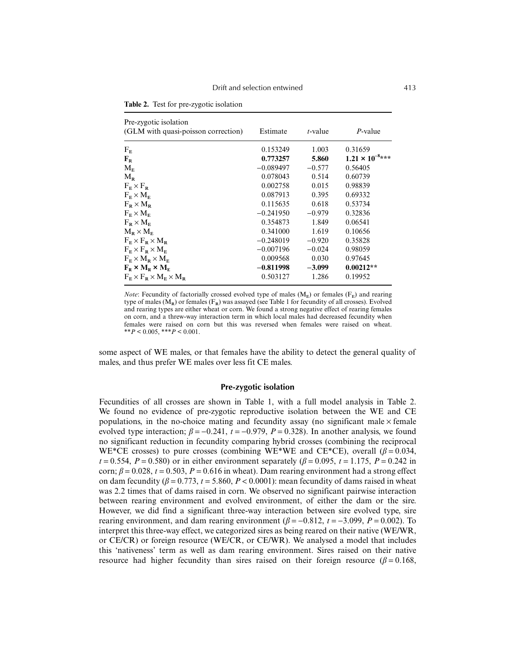| Pre-zygotic isolation<br>(GLM with quasi-poisson correction)   | Estimate    | $t$ -value | $P$ -value               |
|----------------------------------------------------------------|-------------|------------|--------------------------|
| F <sub>E</sub>                                                 | 0.153249    | 1.003      | 0.31659                  |
| $F_R$                                                          | 0.773257    | 5.860      | $1.21 \times 10^{-8***}$ |
| $M_{E}$                                                        | $-0.089497$ | $-0.577$   | 0.56405                  |
| $M_{R}$                                                        | 0.078043    | 0.514      | 0.60739                  |
| $F_{\rm E} \times F_{\rm R}$                                   | 0.002758    | 0.015      | 0.98839                  |
| $F_{\rm E} \times M_{\rm E}$                                   | 0.087913    | 0.395      | 0.69332                  |
| $F_{\rm R} \times M_{\rm R}$                                   | 0.115635    | 0.618      | 0.53734                  |
| $F_{\rm E} \times M_{\rm E}$                                   | $-0.241950$ | $-0.979$   | 0.32836                  |
| $F_{\rm R}$ $\times$ $M_{\rm E}$                               | 0.354873    | 1.849      | 0.06541                  |
| $M_{\rm B}$ $\times$ $M_{\rm E}$                               | 0.341000    | 1.619      | 0.10656                  |
| $F_{\rm E} \times F_{\rm R} \times M_{\rm R}$                  | $-0.248019$ | $-0.920$   | 0.35828                  |
| $F_{\rm E} \times F_{\rm R} \times M_{\rm E}$                  | $-0.007196$ | $-0.024$   | 0.98059                  |
| $F_{\rm E} \times M_{\rm R} \times M_{\rm E}$                  | 0.009568    | 0.030      | 0.97645                  |
| $F_{R} \times M_{R} \times M_{F}$                              | $-0.811998$ | $-3.099$   | $0.00212**$              |
| $F_{\rm E} \times F_{\rm R} \times M_{\rm E} \times M_{\rm R}$ | 0.503127    | 1.286      | 0.19952                  |

**Table 2.** Test for pre-zygotic isolation

*Note*: Fecundity of factorially crossed evolved type of males  $(M<sub>E</sub>)$  or females  $(F<sub>E</sub>)$  and rearing type of males  $(M_R)$  or females  $(F_R)$  was assayed (see Table 1 for fecundity of all crosses). Evolved and rearing types are either wheat or corn. We found a strong negative effect of rearing females on corn, and a threw-way interaction term in which local males had decreased fecundity when females were raised on corn but this was reversed when females were raised on wheat. \*\**P* < 0.005, \*\*\**P* < 0.001.

some aspect of WE males, or that females have the ability to detect the general quality of males, and thus prefer WE males over less fit CE males.

## **Pre-zygotic isolation**

Fecundities of all crosses are shown in Table 1, with a full model analysis in Table 2. We found no evidence of pre-zygotic reproductive isolation between the WE and CE populations, in the no-choice mating and fecundity assay (no significant male  $\times$  female evolved type interaction;  $\beta = -0.241$ ,  $t = -0.979$ ,  $P = 0.328$ ). In another analysis, we found no significant reduction in fecundity comparing hybrid crosses (combining the reciprocal WE\*CE crosses) to pure crosses (combining WE\*WE and CE\*CE), overall ( $\beta$  = 0.034, *t* = 0.554, *P* = 0.580) or in either environment separately ( $\beta$  = 0.095, *t* = 1.175, *P* = 0.242 in corn;  $\beta = 0.028$ ,  $t = 0.503$ ,  $P = 0.616$  in wheat). Dam rearing environment had a strong effect on dam fecundity  $(\beta = 0.773, t = 5.860, P < 0.0001)$ : mean fecundity of dams raised in wheat was 2.2 times that of dams raised in corn. We observed no significant pairwise interaction between rearing environment and evolved environment, of either the dam or the sire. However, we did find a significant three-way interaction between sire evolved type, sire rearing environment, and dam rearing environment ( $\beta = -0.812$ ,  $t = -3.099$ ,  $P = 0.002$ ). To interpret this three-way effect, we categorized sires as being reared on their native (WE/WR, or CE/CR) or foreign resource (WE/CR, or CE/WR). We analysed a model that includes this 'nativeness' term as well as dam rearing environment. Sires raised on their native resource had higher fecundity than sires raised on their foreign resource ( $\beta$  = 0.168,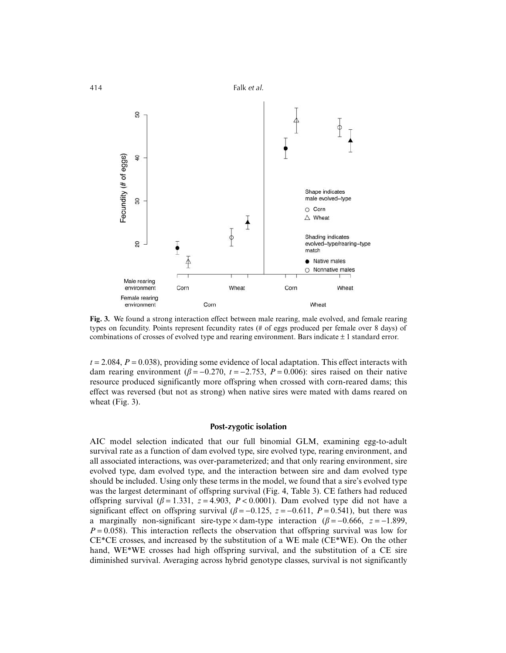

**Fig. 3.** We found a strong interaction effect between male rearing, male evolved, and female rearing types on fecundity. Points represent fecundity rates (# of eggs produced per female over 8 days) of combinations of crosses of evolved type and rearing environment. Bars indicate  $\pm 1$  standard error.

 $t = 2.084$ ,  $P = 0.038$ ), providing some evidence of local adaptation. This effect interacts with dam rearing environment  $(\beta = -0.270, t = -2.753, P = 0.006)$ : sires raised on their native resource produced significantly more offspring when crossed with corn-reared dams; this effect was reversed (but not as strong) when native sires were mated with dams reared on wheat (Fig. 3).

# **Post-zygotic isolation**

AIC model selection indicated that our full binomial GLM, examining egg-to-adult survival rate as a function of dam evolved type, sire evolved type, rearing environment, and all associated interactions, was over-parameterized; and that only rearing environment, sire evolved type, dam evolved type, and the interaction between sire and dam evolved type should be included. Using only these terms in the model, we found that a sire's evolved type was the largest determinant of offspring survival (Fig. 4, Table 3). CE fathers had reduced offspring survival ( $\beta$  = 1.331,  $z$  = 4.903,  $P$  < 0.0001). Dam evolved type did not have a significant effect on offspring survival  $(\beta = -0.125, z = -0.611, P = 0.541)$ , but there was a marginally non-significant sire-type  $\times$  dam-type interaction ( $\beta$  = −0.666, *z* = −1.899,  $P = 0.058$ ). This interaction reflects the observation that offspring survival was low for CE\*CE crosses, and increased by the substitution of a WE male (CE\*WE). On the other hand, WE\*WE crosses had high offspring survival, and the substitution of a CE sire diminished survival. Averaging across hybrid genotype classes, survival is not significantly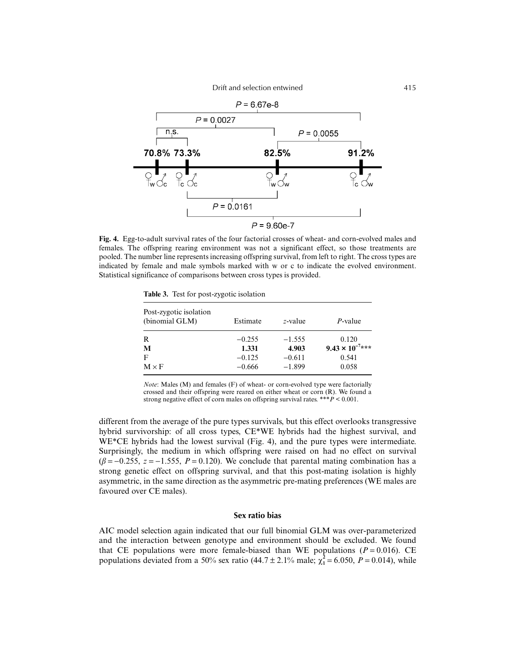

**Fig. 4.** Egg-to-adult survival rates of the four factorial crosses of wheat- and corn-evolved males and females. The offspring rearing environment was not a significant effect, so those treatments are pooled. The number line represents increasing offspring survival, from left to right. The cross types are indicated by female and male symbols marked with w or c to indicate the evolved environment. Statistical significance of comparisons between cross types is provided.

**Table 3.** Test for post-zygotic isolation

| Post-zygotic isolation<br>(binomial GLM) | Estimate | $z$ -value | $P$ -value               |
|------------------------------------------|----------|------------|--------------------------|
| R                                        | $-0.255$ | $-1.555$   | 0.120                    |
| M                                        | 1.331    | 4.903      | $9.43 \times 10^{-7***}$ |
| F                                        | $-0.125$ | $-0.611$   | 0.541                    |
| $M \times F$                             | $-0.666$ | $-1.899$   | 0.058                    |

*Note*: Males (M) and females (F) of wheat- or corn-evolved type were factorially crossed and their offspring were reared on either wheat or corn (R). We found a strong negative effect of corn males on offspring survival rates. \*\*\* $\dot{P}$  < 0.001.

different from the average of the pure types survivals, but this effect overlooks transgressive hybrid survivorship: of all cross types, CE\*WE hybrids had the highest survival, and WE\*CE hybrids had the lowest survival (Fig. 4), and the pure types were intermediate. Surprisingly, the medium in which offspring were raised on had no effect on survival  $(\beta = -0.255, z = -1.555, P = 0.120)$ . We conclude that parental mating combination has a strong genetic effect on offspring survival, and that this post-mating isolation is highly asymmetric, in the same direction as the asymmetric pre-mating preferences (WE males are favoured over CE males).

### **Sex ratio bias**

AIC model selection again indicated that our full binomial GLM was over-parameterized and the interaction between genotype and environment should be excluded. We found that CE populations were more female-biased than WE populations  $(P = 0.016)$ . CE populations deviated from a 50% sex ratio (44.7  $\pm$  2.1% male;  $\chi_1^2$  = 6.050, *P* = 0.014), while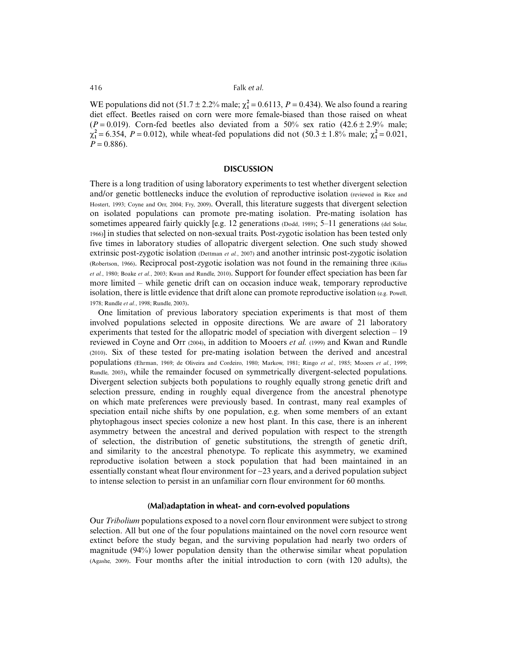WE populations did not  $(51.7 \pm 2.2\% \text{ male}; \chi_1^2 = 0.6113, P = 0.434)$ . We also found a rearing diet effect. Beetles raised on corn were more female-biased than those raised on wheat  $(P = 0.019)$ . Corn-fed beetles also deviated from a 50% sex ratio  $(42.6 \pm 2.9\%$  male;  $\chi_1^2 = 6.354$ ,  $P = 0.012$ ), while wheat-fed populations did not  $(50.3 \pm 1.8\%$  male;  $\chi_1^2 = 0.021$ ,  $P = 0.886$ .

## **DISCUSSION**

There is a long tradition of using laboratory experiments to test whether divergent selection and/or genetic bottlenecks induce the evolution of reproductive isolation (reviewed in Rice and Hostert, 1993; Coyne and Orr, 2004; Fry, 2009). Overall, this literature suggests that divergent selection on isolated populations can promote pre-mating isolation. Pre-mating isolation has sometimes appeared fairly quickly [e.g. 12 generations (Dodd, 1989); 5–11 generations (del Solar, 1966)] in studies that selected on non-sexual traits. Post-zygotic isolation has been tested only five times in laboratory studies of allopatric divergent selection. One such study showed extrinsic post-zygotic isolation (Dettman *et al.*, 2007) and another intrinsic post-zygotic isolation (Robertson, 1966). Reciprocal post-zygotic isolation was not found in the remaining three (Kilias *et al.*, 1980; Boake *et al.*, 2003; Kwan and Rundle, 2010). Support for founder effect speciation has been far more limited – while genetic drift can on occasion induce weak, temporary reproductive isolation, there is little evidence that drift alone can promote reproductive isolation  $(e.g.$  Powell, 1978; Rundle *et al.*, 1998; Rundle, 2003).

One limitation of previous laboratory speciation experiments is that most of them involved populations selected in opposite directions. We are aware of 21 laboratory experiments that tested for the allopatric model of speciation with divergent selection  $-19$ reviewed in Coyne and Orr (2004), in addition to Mooers *et al.* (1999) and Kwan and Rundle (2010). Six of these tested for pre-mating isolation between the derived and ancestral populations (Ehrman, 1969; de Oliveira and Cordeiro, 1980; Markow, 1981; Ringo *et al.*, 1985; Mooers *et al.*, 1999; Rundle, 2003), while the remainder focused on symmetrically divergent-selected populations. Divergent selection subjects both populations to roughly equally strong genetic drift and selection pressure, ending in roughly equal divergence from the ancestral phenotype on which mate preferences were previously based. In contrast, many real examples of speciation entail niche shifts by one population, e.g. when some members of an extant phytophagous insect species colonize a new host plant. In this case, there is an inherent asymmetry between the ancestral and derived population with respect to the strength of selection, the distribution of genetic substitutions, the strength of genetic drift, and similarity to the ancestral phenotype. To replicate this asymmetry, we examined reproductive isolation between a stock population that had been maintained in an essentially constant wheat flour environment for ∼23 years, and a derived population subject to intense selection to persist in an unfamiliar corn flour environment for 60 months.

#### **(Mal)adaptation in wheat- and corn-evolved populations**

Our *Tribolium* populations exposed to a novel corn flour environment were subject to strong selection. All but one of the four populations maintained on the novel corn resource went extinct before the study began, and the surviving population had nearly two orders of magnitude (94%) lower population density than the otherwise similar wheat population (Agashe, 2009). Four months after the initial introduction to corn (with 120 adults), the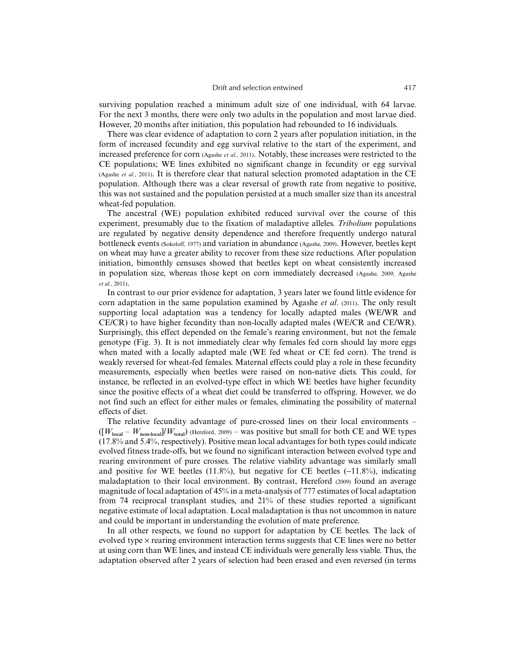surviving population reached a minimum adult size of one individual, with 64 larvae. For the next 3 months, there were only two adults in the population and most larvae died. However, 20 months after initiation, this population had rebounded to 16 individuals.

There was clear evidence of adaptation to corn 2 years after population initiation, in the form of increased fecundity and egg survival relative to the start of the experiment, and increased preference for corn (Agashe *et al.*, 2011). Notably, these increases were restricted to the CE populations; WE lines exhibited no significant change in fecundity or egg survival (Agashe *et al.*, 2011). It is therefore clear that natural selection promoted adaptation in the CE population. Although there was a clear reversal of growth rate from negative to positive, this was not sustained and the population persisted at a much smaller size than its ancestral wheat-fed population.

The ancestral (WE) population exhibited reduced survival over the course of this experiment, presumably due to the fixation of maladaptive alleles. *Tribolium* populations are regulated by negative density dependence and therefore frequently undergo natural bottleneck events (Sokoloff, 1977) and variation in abundance (Agashe, 2009). However, beetles kept on wheat may have a greater ability to recover from these size reductions. After population initiation, bimonthly censuses showed that beetles kept on wheat consistently increased in population size, whereas those kept on corn immediately decreased (Agashe, 2009; Agashe *et al.*, 2011).

In contrast to our prior evidence for adaptation, 3 years later we found little evidence for corn adaptation in the same population examined by Agashe *et al*. (2011). The only result supporting local adaptation was a tendency for locally adapted males (WE/WR and CE/CR) to have higher fecundity than non-locally adapted males (WE/CR and CE/WR). Surprisingly, this effect depended on the female's rearing environment, but not the female genotype (Fig. 3). It is not immediately clear why females fed corn should lay more eggs when mated with a locally adapted male (WE fed wheat or CE fed corn). The trend is weakly reversed for wheat-fed females. Maternal effects could play a role in these fecundity measurements, especially when beetles were raised on non-native diets. This could, for instance, be reflected in an evolved-type effect in which WE beetles have higher fecundity since the positive effects of a wheat diet could be transferred to offspring. However, we do not find such an effect for either males or females, eliminating the possibility of maternal effects of diet.

The relative fecundity advantage of pure-crossed lines on their local environments –  $([W_{local} - W_{non-local}] / W_{total})$  (Hereford, 2009) – was positive but small for both CE and WE types (17.8% and 5.4%, respectively). Positive mean local advantages for both types could indicate evolved fitness trade-offs, but we found no significant interaction between evolved type and rearing environment of pure crosses. The relative viability advantage was similarly small and positive for WE beetles  $(11.8\%)$ , but negative for CE beetles  $(-11.8\%)$ , indicating maladaptation to their local environment. By contrast, Hereford (2009) found an average magnitude of local adaptation of 45% in a meta-analysis of 777 estimates of local adaptation from 74 reciprocal transplant studies, and 21% of these studies reported a significant negative estimate of local adaptation. Local maladaptation is thus not uncommon in nature and could be important in understanding the evolution of mate preference.

In all other respects, we found no support for adaptation by CE beetles. The lack of evolved type  $\times$  rearing environment interaction terms suggests that CE lines were no better at using corn than WE lines, and instead CE individuals were generally less viable. Thus, the adaptation observed after 2 years of selection had been erased and even reversed (in terms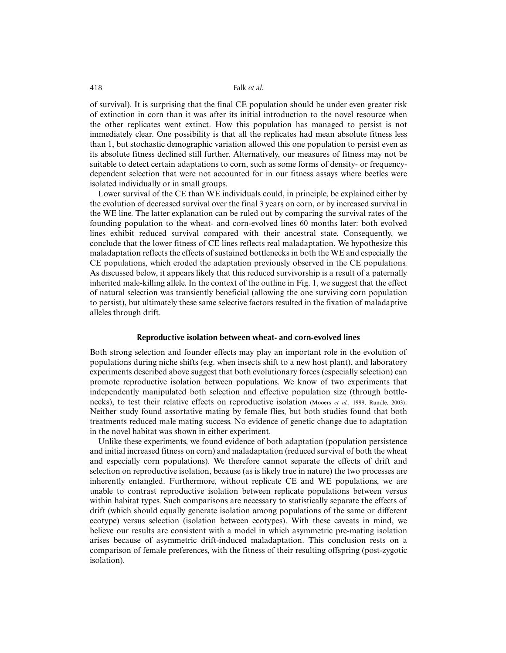of survival). It is surprising that the final CE population should be under even greater risk of extinction in corn than it was after its initial introduction to the novel resource when the other replicates went extinct. How this population has managed to persist is not immediately clear. One possibility is that all the replicates had mean absolute fitness less than 1, but stochastic demographic variation allowed this one population to persist even as its absolute fitness declined still further. Alternatively, our measures of fitness may not be suitable to detect certain adaptations to corn, such as some forms of density- or frequencydependent selection that were not accounted for in our fitness assays where beetles were isolated individually or in small groups.

Lower survival of the CE than WE individuals could, in principle, be explained either by the evolution of decreased survival over the final 3 years on corn, or by increased survival in the WE line. The latter explanation can be ruled out by comparing the survival rates of the founding population to the wheat- and corn-evolved lines 60 months later: both evolved lines exhibit reduced survival compared with their ancestral state. Consequently, we conclude that the lower fitness of CE lines reflects real maladaptation. We hypothesize this maladaptation reflects the effects of sustained bottlenecks in both the WE and especially the CE populations, which eroded the adaptation previously observed in the CE populations. As discussed below, it appears likely that this reduced survivorship is a result of a paternally inherited male-killing allele. In the context of the outline in Fig. 1, we suggest that the effect of natural selection was transiently beneficial (allowing the one surviving corn population to persist), but ultimately these same selective factors resulted in the fixation of maladaptive alleles through drift.

## **Reproductive isolation between wheat- and corn-evolved lines**

Both strong selection and founder effects may play an important role in the evolution of populations during niche shifts (e.g. when insects shift to a new host plant), and laboratory experiments described above suggest that both evolutionary forces (especially selection) can promote reproductive isolation between populations. We know of two experiments that independently manipulated both selection and effective population size (through bottlenecks), to test their relative effects on reproductive isolation (Mooers *et al.*, 1999; Rundle, 2003). Neither study found assortative mating by female flies, but both studies found that both treatments reduced male mating success. No evidence of genetic change due to adaptation in the novel habitat was shown in either experiment.

Unlike these experiments, we found evidence of both adaptation (population persistence and initial increased fitness on corn) and maladaptation (reduced survival of both the wheat and especially corn populations). We therefore cannot separate the effects of drift and selection on reproductive isolation, because (as is likely true in nature) the two processes are inherently entangled. Furthermore, without replicate CE and WE populations, we are unable to contrast reproductive isolation between replicate populations between versus within habitat types. Such comparisons are necessary to statistically separate the effects of drift (which should equally generate isolation among populations of the same or different ecotype) versus selection (isolation between ecotypes). With these caveats in mind, we believe our results are consistent with a model in which asymmetric pre-mating isolation arises because of asymmetric drift-induced maladaptation. This conclusion rests on a comparison of female preferences, with the fitness of their resulting offspring (post-zygotic isolation).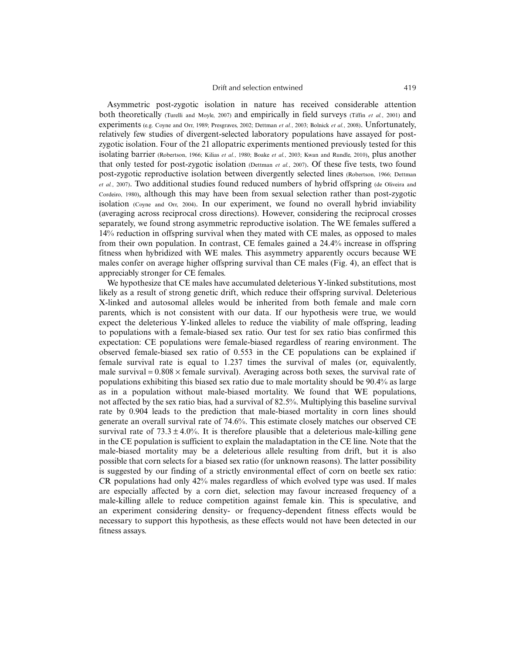Asymmetric post-zygotic isolation in nature has received considerable attention both theoretically (Turelli and Moyle, 2007) and empirically in field surveys (Tiffin *et al.*, 2001) and experiments (e.g. Coyne and Orr, 1989; Presgraves, 2002; Dettman *et al.*, 2003; Bolnick *et al.*, 2008). Unfortunately, relatively few studies of divergent-selected laboratory populations have assayed for postzygotic isolation. Four of the 21 allopatric experiments mentioned previously tested for this isolating barrier (Robertson, 1966; Kilias *et al.*, 1980; Boake *et al.*, 2003; Kwan and Rundle, 2010), plus another that only tested for post-zygotic isolation (Dettman *et al.*, 2007). Of these five tests, two found post-zygotic reproductive isolation between divergently selected lines (Robertson, 1966; Dettman *et al.*, 2007). Two additional studies found reduced numbers of hybrid offspring (de Oliveira and Cordeiro, 1980), although this may have been from sexual selection rather than post-zygotic isolation (Coyne and Orr, 2004). In our experiment, we found no overall hybrid inviability (averaging across reciprocal cross directions). However, considering the reciprocal crosses separately, we found strong asymmetric reproductive isolation. The WE females suffered a 14% reduction in offspring survival when they mated with CE males, as opposed to males from their own population. In contrast, CE females gained a 24.4% increase in offspring fitness when hybridized with WE males. This asymmetry apparently occurs because WE males confer on average higher offspring survival than CE males (Fig. 4), an effect that is appreciably stronger for CE females.

We hypothesize that CE males have accumulated deleterious Y-linked substitutions, most likely as a result of strong genetic drift, which reduce their offspring survival. Deleterious X-linked and autosomal alleles would be inherited from both female and male corn parents, which is not consistent with our data. If our hypothesis were true, we would expect the deleterious Y-linked alleles to reduce the viability of male offspring, leading to populations with a female-biased sex ratio. Our test for sex ratio bias confirmed this expectation: CE populations were female-biased regardless of rearing environment. The observed female-biased sex ratio of 0.553 in the CE populations can be explained if female survival rate is equal to 1.237 times the survival of males (or, equivalently, male survival =  $0.808 \times$  female survival). Averaging across both sexes, the survival rate of populations exhibiting this biased sex ratio due to male mortality should be 90.4% as large as in a population without male-biased mortality. We found that WE populations, not affected by the sex ratio bias, had a survival of 82.5%. Multiplying this baseline survival rate by 0.904 leads to the prediction that male-biased mortality in corn lines should generate an overall survival rate of 74.6%. This estimate closely matches our observed CE survival rate of  $73.3 \pm 4.0\%$ . It is therefore plausible that a deleterious male-killing gene in the CE population is sufficient to explain the maladaptation in the CE line. Note that the male-biased mortality may be a deleterious allele resulting from drift, but it is also possible that corn selects for a biased sex ratio (for unknown reasons). The latter possibility is suggested by our finding of a strictly environmental effect of corn on beetle sex ratio: CR populations had only 42% males regardless of which evolved type was used. If males are especially affected by a corn diet, selection may favour increased frequency of a male-killing allele to reduce competition against female kin. This is speculative, and an experiment considering density- or frequency-dependent fitness effects would be necessary to support this hypothesis, as these effects would not have been detected in our fitness assays.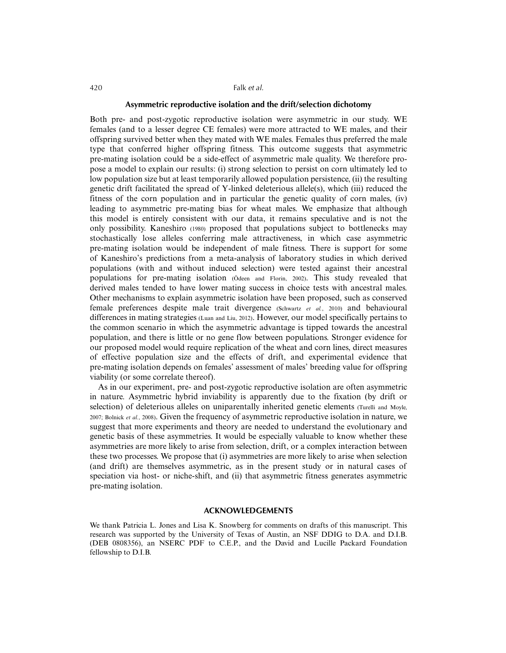## **Asymmetric reproductive isolation and the drift/selection dichotomy**

Both pre- and post-zygotic reproductive isolation were asymmetric in our study. WE females (and to a lesser degree CE females) were more attracted to WE males, and their offspring survived better when they mated with WE males. Females thus preferred the male type that conferred higher offspring fitness. This outcome suggests that asymmetric pre-mating isolation could be a side-effect of asymmetric male quality. We therefore propose a model to explain our results: (i) strong selection to persist on corn ultimately led to low population size but at least temporarily allowed population persistence, (ii) the resulting genetic drift facilitated the spread of Y-linked deleterious allele(s), which (iii) reduced the fitness of the corn population and in particular the genetic quality of corn males, (iv) leading to asymmetric pre-mating bias for wheat males. We emphasize that although this model is entirely consistent with our data, it remains speculative and is not the only possibility. Kaneshiro (1980) proposed that populations subject to bottlenecks may stochastically lose alleles conferring male attractiveness, in which case asymmetric pre-mating isolation would be independent of male fitness. There is support for some of Kaneshiro's predictions from a meta-analysis of laboratory studies in which derived populations (with and without induced selection) were tested against their ancestral populations for pre-mating isolation (Ödeen and Florin, 2002). This study revealed that derived males tended to have lower mating success in choice tests with ancestral males. Other mechanisms to explain asymmetric isolation have been proposed, such as conserved female preferences despite male trait divergence (Schwartz *et al.*, 2010) and behavioural differences in mating strategies (Luan and Liu, 2012). However, our model specifically pertains to the common scenario in which the asymmetric advantage is tipped towards the ancestral population, and there is little or no gene flow between populations. Stronger evidence for our proposed model would require replication of the wheat and corn lines, direct measures of effective population size and the effects of drift, and experimental evidence that pre-mating isolation depends on females' assessment of males' breeding value for offspring viability (or some correlate thereof).

As in our experiment, pre- and post-zygotic reproductive isolation are often asymmetric in nature. Asymmetric hybrid inviability is apparently due to the fixation (by drift or selection) of deleterious alleles on uniparentally inherited genetic elements (Turelli and Moyle, 2007; Bolnick *et al.*, 2008). Given the frequency of asymmetric reproductive isolation in nature, we suggest that more experiments and theory are needed to understand the evolutionary and genetic basis of these asymmetries. It would be especially valuable to know whether these asymmetries are more likely to arise from selection, drift, or a complex interaction between these two processes. We propose that (i) asymmetries are more likely to arise when selection (and drift) are themselves asymmetric, as in the present study or in natural cases of speciation via host- or niche-shift, and (ii) that asymmetric fitness generates asymmetric pre-mating isolation.

#### **ACKNOWLEDGEMENTS**

We thank Patricia L. Jones and Lisa K. Snowberg for comments on drafts of this manuscript. This research was supported by the University of Texas of Austin, an NSF DDIG to D.A. and D.I.B. (DEB 0808356), an NSERC PDF to C.E.P., and the David and Lucille Packard Foundation fellowship to D.I.B.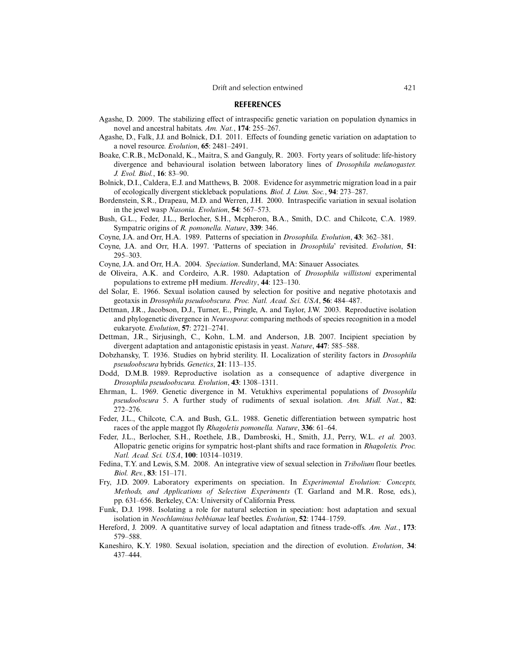#### **REFERENCES**

- Agashe, D. 2009. The stabilizing effect of intraspecific genetic variation on population dynamics in novel and ancestral habitats. *Am. Nat.*, **174**: 255–267.
- Agashe, D., Falk, J.J. and Bolnick, D.I. 2011. Effects of founding genetic variation on adaptation to a novel resource. *Evolution*, **65**: 2481–2491.
- Boake, C.R.B., McDonald, K., Maitra, S. and Ganguly, R. 2003. Forty years of solitude: life-history divergence and behavioural isolation between laboratory lines of *Drosophila melanogaster. J. Evol. Biol.*, **16**: 83–90.
- Bolnick, D.I., Caldera, E.J. and Matthews, B. 2008. Evidence for asymmetric migration load in a pair of ecologically divergent stickleback populations. *Biol. J. Linn. Soc.*, **94**: 273–287.
- Bordenstein, S.R., Drapeau, M.D. and Werren, J.H. 2000. Intraspecific variation in sexual isolation in the jewel wasp *Nasonia. Evolution*, **54**: 567–573.
- Bush, G.L., Feder, J.L., Berlocher, S.H., Mcpheron, B.A., Smith, D.C. and Chilcote, C.A. 1989. Sympatric origins of *R. pomonella. Nature*, **339**: 346.
- Coyne, J.A. and Orr, H.A. 1989. Patterns of speciation in *Drosophila. Evolution*, **43**: 362–381.
- Coyne, J.A. and Orr, H.A. 1997. 'Patterns of speciation in *Drosophila*' revisited. *Evolution*, **51**: 295–303.
- Coyne, J.A. and Orr, H.A. 2004. *Speciation*. Sunderland, MA: Sinauer Associates.
- de Oliveira, A.K. and Cordeiro, A.R. 1980. Adaptation of *Drosophila willistoni* experimental populations to extreme pH medium. *Heredity*, **44**: 123–130.
- del Solar, E. 1966. Sexual isolation caused by selection for positive and negative phototaxis and geotaxis in *Drosophila pseudoobscura. Proc. Natl. Acad. Sci. USA*, **56**: 484–487.
- Dettman, J.R., Jacobson, D.J., Turner, E., Pringle, A. and Taylor, J.W. 2003. Reproductive isolation and phylogenetic divergence in *Neurospora*: comparing methods of species recognition in a model eukaryote. *Evolution*, **57**: 2721–2741.
- Dettman, J.R., Sirjusingh, C., Kohn, L.M. and Anderson, J.B. 2007. Incipient speciation by divergent adaptation and antagonistic epistasis in yeast. *Nature*, **447**: 585–588.
- Dobzhansky, T. 1936. Studies on hybrid sterility. II. Localization of sterility factors in *Drosophila pseudoobscura* hybrids. *Genetics*, **21**: 113–135.
- Dodd, D.M.B. 1989. Reproductive isolation as a consequence of adaptive divergence in *Drosophila pseudoobscura. Evolution*, **43**: 1308–1311.
- Ehrman, L. 1969. Genetic divergence in M. Vetukhivs experimental populations of *Drosophila pseudoobscura* 5. A further study of rudiments of sexual isolation. *Am. Midl. Nat.*, **82**: 272–276.
- Feder, J.L., Chilcote, C.A. and Bush, G.L. 1988. Genetic differentiation between sympatric host races of the apple maggot fly *Rhagoletis pomonella. Nature*, **336**: 61–64.
- Feder, J.L., Berlocher, S.H., Roethele, J.B., Dambroski, H., Smith, J.J., Perry, W.L. *et al.* 2003. Allopatric genetic origins for sympatric host-plant shifts and race formation in *Rhagoletis. Proc. Natl. Acad. Sci. USA*, **100**: 10314–10319.
- Fedina, T.Y. and Lewis, S.M. 2008. An integrative view of sexual selection in *Tribolium* flour beetles. *Biol. Rev.*, **83**: 151–171.
- Fry, J.D. 2009. Laboratory experiments on speciation. In *Experimental Evolution: Concepts, Methods, and Applications of Selection Experiments* (T. Garland and M.R. Rose, eds.), pp. 631–656. Berkeley, CA: University of California Press.
- Funk, D.J. 1998. Isolating a role for natural selection in speciation: host adaptation and sexual isolation in *Neochlamisus bebbianae* leaf beetles. *Evolution*, **52**: 1744–1759.
- Hereford, J. 2009. A quantitative survey of local adaptation and fitness trade-offs. *Am. Nat.*, **173**: 579–588.
- Kaneshiro, K.Y. 1980. Sexual isolation, speciation and the direction of evolution. *Evolution*, **34**: 437–444.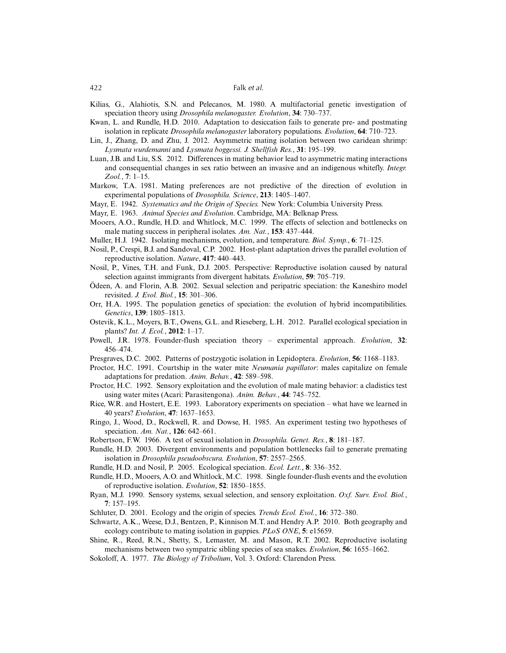- Kilias, G., Alahiotis, S.N. and Pelecanos, M. 1980. A multifactorial genetic investigation of speciation theory using *Drosophila melanogaster. Evolution*, **34**: 730–737.
- Kwan, L. and Rundle, H.D. 2010. Adaptation to desiccation fails to generate pre- and postmating isolation in replicate *Drosophila melanogaster* laboratory populations. *Evolution*, **64**: 710–723.
- Lin, J., Zhang, D. and Zhu, J. 2012. Asymmetric mating isolation between two caridean shrimp: *Lysmata wurdemanni* and *Lysmata boggessi. J. Shellfish Res.*, **31**: 195–199.
- Luan, J.B. and Liu, S.S. 2012. Differences in mating behavior lead to asymmetric mating interactions and consequential changes in sex ratio between an invasive and an indigenous whitefly. *Integr. Zool.*, **7**: 1–15.
- Markow, T.A. 1981. Mating preferences are not predictive of the direction of evolution in experimental populations of *Drosophila. Science*, **213**: 1405–1407.
- Mayr, E. 1942. *Systematics and the Origin of Species.* New York: Columbia University Press.
- Mayr, E. 1963. *Animal Species and Evolution*. Cambridge, MA: Belknap Press.
- Mooers, A.O., Rundle, H.D. and Whitlock, M.C. 1999. The effects of selection and bottlenecks on male mating success in peripheral isolates. *Am. Nat.*, **153**: 437–444.
- Muller, H.J. 1942. Isolating mechanisms, evolution, and temperature. *Biol. Symp.*, **6**: 71–125.
- Nosil, P., Crespi, B.J. and Sandoval, C.P. 2002. Host-plant adaptation drives the parallel evolution of reproductive isolation. *Nature*, **417**: 440–443.
- Nosil, P., Vines, T.H. and Funk, D.J. 2005. Perspective: Reproductive isolation caused by natural selection against immigrants from divergent habitats. *Evolution*, **59**: 705–719.
- Ödeen, A. and Florin, A.B. 2002. Sexual selection and peripatric speciation: the Kaneshiro model revisited. *J. Evol. Biol.*, **15**: 301–306.
- Orr, H.A. 1995. The population genetics of speciation: the evolution of hybrid incompatibilities. *Genetics*, **139**: 1805–1813.
- Ostevik, K.L., Moyers, B.T., Owens, G.L. and Rieseberg, L.H. 2012. Parallel ecological speciation in plants? *Int. J. Ecol.*, **2012**: 1–17.
- Powell, J.R. 1978. Founder-flush speciation theory experimental approach. *Evolution*, **32**: 456–474.
- Presgraves, D.C. 2002. Patterns of postzygotic isolation in Lepidoptera. *Evolution*, **56**: 1168–1183.
- Proctor, H.C. 1991. Courtship in the water mite *Neumania papillator*: males capitalize on female adaptations for predation. *Anim. Behav.*, **42**: 589–598.
- Proctor, H.C. 1992. Sensory exploitation and the evolution of male mating behavior: a cladistics test using water mites (Acari: Parasitengona). *Anim. Behav.*, **44**: 745–752.
- Rice, W.R. and Hostert, E.E. 1993. Laboratory experiments on speciation what have we learned in 40 years? *Evolution*, **47**: 1637–1653.
- Ringo, J., Wood, D., Rockwell, R. and Dowse, H. 1985. An experiment testing two hypotheses of speciation. *Am. Nat.*, **126**: 642–661.
- Robertson, F.W. 1966. A test of sexual isolation in *Drosophila. Genet. Res.*, **8**: 181–187.
- Rundle, H.D. 2003. Divergent environments and population bottlenecks fail to generate premating isolation in *Drosophila pseudoobscura. Evolution*, **57**: 2557–2565.
- Rundle, H.D. and Nosil, P. 2005. Ecological speciation. *Ecol. Lett.*, **8**: 336–352.
- Rundle, H.D., Mooers, A.O. and Whitlock, M.C. 1998. Single founder-flush events and the evolution of reproductive isolation. *Evolution*, **52**: 1850–1855.
- Ryan, M.J. 1990. Sensory systems, sexual selection, and sensory exploitation. *Oxf. Surv. Evol. Biol.*, **7**: 157–195.
- Schluter, D. 2001. Ecology and the origin of species. *Trends Ecol. Evol.*, **16**: 372–380.
- Schwartz, A.K., Weese, D.J., Bentzen, P., Kinnison M.T. and Hendry A.P. 2010. Both geography and ecology contribute to mating isolation in guppies. *PLoS ONE*, **5**: e15659.
- Shine, R., Reed, R.N., Shetty, S., Lemaster, M. and Mason, R.T. 2002. Reproductive isolating mechanisms between two sympatric sibling species of sea snakes. *Evolution*, **56**: 1655–1662.
- Sokoloff, A. 1977. *The Biology of Tribolium*, Vol. 3. Oxford: Clarendon Press.